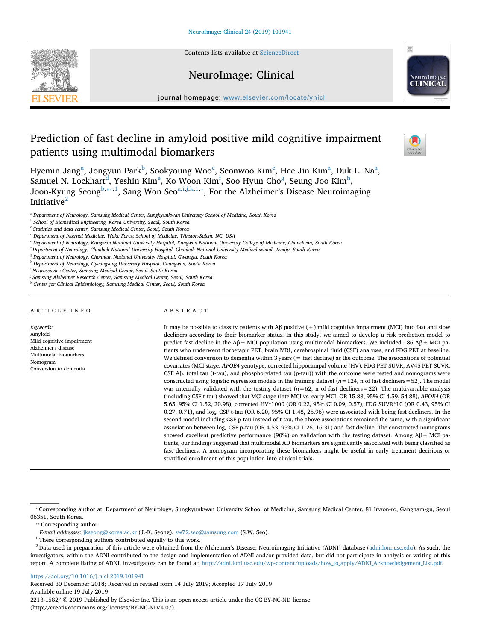Contents lists available at [ScienceDirect](http://www.sciencedirect.com/science/journal/22131582)



# NeuroImage: Clinical



journal homepage: [www.elsevier.com/locate/ynicl](https://www.elsevier.com/locate/ynicl)

# Prediction of fast decline in amyloid positive mild cognitive impairment patients using multimodal biomarkers



Hyemin J[a](#page-0-0)ng $^{\rm a}$ , Jongyun Park $^{\rm b}$  $^{\rm b}$  $^{\rm b}$ , Sookyoung Woo $^{\rm c}$  $^{\rm c}$  $^{\rm c}$ , Seonwoo Kim $^{\rm c}$ , Hee Jin Kim $^{\rm a}$ , Duk L. Na $^{\rm a}$ , Samu[e](#page-0-4)l N. Lock[h](#page-0-7)art $^{\rm d}$ , Yeshin Kim $^{\rm e}$ , Ko Woon Kim $^{\rm f}$  $^{\rm f}$  $^{\rm f}$ , Soo Hyun Cho $^{\rm g}$ , Seung Joo Kim $^{\rm h}$ , Joon-Kyung Seong<sup>[b](#page-0-1),\*\*,[1](#page-0-9)</sup>, Sang Won Seo<sup>a[,i,](#page-0-10)[j](#page-0-11)[,k,](#page-0-12)1,\*</sup>, For the Alzheimer's Disease Neuroimaging Initiative<sup>[2](#page-0-14)</sup>

<span id="page-0-0"></span><sup>a</sup> *Department of Neurology, Samsung Medical Center, Sungkyunkwan University School of Medicine, South Korea*

<span id="page-0-6"></span><sup>g</sup> *Department of Neurology, Chonnam National University Hospital, Gwangju, South Korea*

# ARTICLE INFO

*Keywords:* Amyloid Mild cognitive impairment Alzheimer's disease Multimodal biomarkers Nomogram Conversion to dementia

# ABSTRACT

It may be possible to classify patients with Aβ positive (+) mild cognitive impairment (MCI) into fast and slow decliners according to their biomarker status. In this study, we aimed to develop a risk prediction model to predict fast decline in the A $\beta$ + MCI population using multimodal biomarkers. We included 186 A $\beta$ + MCI patients who underwent florbetapir PET, brain MRI, cerebrospinal fluid (CSF) analyses, and FDG PET at baseline. We defined conversion to dementia within 3 years (= fast decline) as the outcome. The associations of potential covariates (MCI stage, *APOE4* genotype, corrected hippocampal volume (HV), FDG PET SUVR, AV45 PET SUVR, CSF Aβ, total tau (t-tau), and phosphorylated tau (p-tau)) with the outcome were tested and nomograms were constructed using logistic regression models in the training dataset (*n*=124, n of fast decliners=52). The model was internally validated with the testing dataset  $(n=62, n$  of fast decliners=22). The multivariable analysis (including CSF t-tau) showed that MCI stage (late MCI vs. early MCI; OR 15.88, 95% CI 4.59, 54.88), *APOE4* (OR 5.65, 95% CI 1.52, 20.98), corrected HV\*1000 (OR 0.22, 95% CI 0.09, 0.57), FDG SUVR\*10 (OR 0.43, 95% CI 0.27, 0.71), and loge CSF t-tau (OR 6.20, 95% CI 1.48, 25.96) were associated with being fast decliners. In the second model including CSF p-tau instead of t-tau, the above associations remained the same, with a significant association between  $log_e$  CSF p-tau (OR 4.53, 95% CI 1.26, 16.31) and fast decline. The constructed nomograms showed excellent predictive performance (90%) on validation with the testing dataset. Among Aβ+ MCI patients, our findings suggested that multimodal AD biomarkers are significantly associated with being classified as fast decliners. A nomogram incorporating these biomarkers might be useful in early treatment decisions or stratified enrollment of this population into clinical trials.

<https://doi.org/10.1016/j.nicl.2019.101941>

Received 30 December 2018; Received in revised form 14 July 2019; Accepted 17 July 2019 Available online 19 July 2019 2213-1582/ © 2019 Published by Elsevier Inc. This is an open access article under the CC BY-NC-ND license (http://creativecommons.org/licenses/BY-NC-ND/4.0/).

<span id="page-0-1"></span><sup>b</sup> *School of Biomedical Engineering, Korea University, Seoul, South Korea*

<span id="page-0-2"></span><sup>c</sup> *Statistics and data center, Samsung Medical Center, Seoul, South Korea*

<span id="page-0-3"></span><sup>d</sup> *Department of Internal Medicine, Wake Forest School of Medicine, Winston-Salem, NC, USA*

<span id="page-0-4"></span><sup>e</sup> *Department of Neurology, Kangwon National University Hospital, Kangwon National University College of Medicine, Chuncheon, South Korea*

<span id="page-0-5"></span>f *Department of Neurology, Chonbuk National University Hospital, Chonbuk National University Medical school, Jeonju, South Korea*

<span id="page-0-7"></span><sup>h</sup> *Department of Neurology, Gyeongsang University Hospital, Changwon, South Korea*

<span id="page-0-10"></span>i *Neuroscience Center, Samsung Medical Center, Seoul, South Korea*

<span id="page-0-11"></span>j *Samsung Alzheimer Research Center, Samsung Medical Center, Seoul, South Korea*

<span id="page-0-12"></span><sup>k</sup> *Center for Clinical Epidemiology, Samsung Medical Center, Seoul, South Korea*

<span id="page-0-13"></span><sup>⁎</sup> Corresponding author at: Department of Neurology, Sungkyunkwan University School of Medicine, Samsung Medical Center, 81 Irwon-ro, Gangnam-gu, Seoul 06351, South Korea.

<span id="page-0-8"></span><sup>⁎⁎</sup> Corresponding author.

*E-mail addresses:* [jkseong@korea.ac.kr](mailto:jkseong@korea.ac.kr) (J.-K. Seong), [sw72.seo@samsung.com](mailto:sw72.seo@samsung.com) (S.W. Seo).

<span id="page-0-9"></span><sup>&</sup>lt;sup>1</sup> These corresponding authors contributed equally to this work.

<span id="page-0-14"></span> $^2$  Data used in preparation of this article were obtained from the Alzheimer's Disease, Neuroimaging Initiative (ADNI) database [\(adni.loni.usc.edu\)](http://adni.loni.usc.edu). As such, the investigators, within the ADNI contributed to the design and implementation of ADNI and/or provided data, but did not participate in analysis or writing of this report. A complete listing of ADNI, investigators can be found at: [http://adni.loni.usc.edu/wp-content/uploads/how\\_to\\_apply/ADNI\\_Acknowledgement\\_List.pdf](http://adni.loni.usc.edu/wp-content/uploads/how_to_apply/ADNI_Acknowledgement_List.pdf).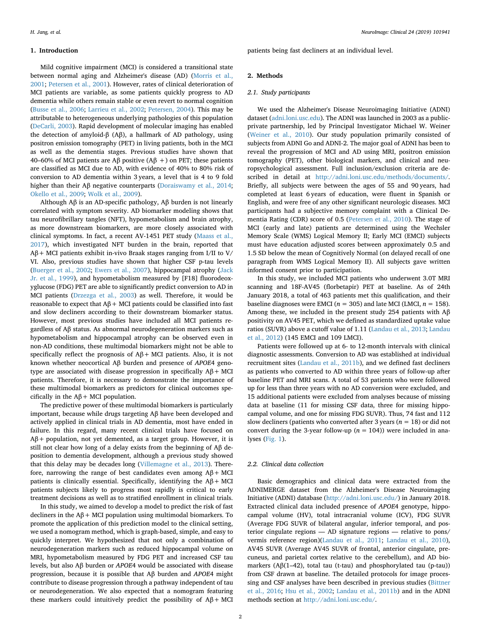# **1. Introduction**

Mild cognitive impairment (MCI) is considered a transitional state between normal aging and Alzheimer's disease (AD) ([Morris et al.,](#page-8-0) [2001;](#page-8-0) [Petersen et al., 2001\)](#page-8-1). However, rates of clinical deterioration of MCI patients are variable, as some patients quickly progress to AD dementia while others remain stable or even revert to normal cognition ([Busse et al., 2006](#page-7-0); [Larrieu et al., 2002;](#page-8-2) [Petersen, 2004\)](#page-8-3). This may be attributable to heterogeneous underlying pathologies of this population ([DeCarli, 2003\)](#page-7-1). Rapid development of molecular imaging has enabled the detection of amyloid-β (Aβ), a hallmark of AD pathology, using positron emission tomography (PET) in living patients, both in the MCI as well as the dementia stages. Previous studies have shown that 40–60% of MCI patients are Aβ positive (Aβ +) on PET; these patients are classified as MCI due to AD, with evidence of 40% to 80% risk of conversion to AD dementia within 3 years, a level that is 4 to 9 fold higher than their Aβ negative counterparts [\(Doraiswamy et al., 2014](#page-7-2); [Okello et al., 2009](#page-8-4); [Wolk et al., 2009\)](#page-8-5).

Although Aβ is an AD-specific pathology, Aβ burden is not linearly correlated with symptom severity. AD biomarker modeling shows that tau neurofibrillary tangles (NFT), hypometabolism and brain atrophy, as more downstream biomarkers, are more closely associated with clinical symptoms. In fact, a recent AV-1451 PET study ([Maass et al.,](#page-8-6) [2017\)](#page-8-6), which investigated NFT burden in the brain, reported that Aβ+ MCI patients exhibit in-vivo Braak stages ranging from I/II to V/ VI. Also, previous studies have shown that higher CSF p-tau levels ([Buerger et al., 2002](#page-7-3); [Ewers et al., 2007\)](#page-7-4), hippocampal atrophy ([Jack](#page-7-5) [Jr. et al., 1999](#page-7-5)), and hypometabolism measured by [F18] fluorodeoxyglucose (FDG) PET are able to significantly predict conversion to AD in MCI patients ([Drzezga et al., 2003](#page-7-6)) as well. Therefore, it would be reasonable to expect that  $A\beta$  + MCI patients could be classified into fast and slow decliners according to their downstream biomarker status. However, most previous studies have included all MCI patients regardless of Aβ status. As abnormal neurodegeneration markers such as hypometabolism and hippocampal atrophy can be observed even in non-AD conditions, these multimodal biomarkers might not be able to specifically reflect the prognosis of  $A\beta$  + MCI patients. Also, it is not known whether neocortical Aβ burden and presence of *APOE*4 genotype are associated with disease progression in specifically  $A\beta + MCI$ patients. Therefore, it is necessary to demonstrate the importance of these multimodal biomarkers as predictors for clinical outcomes specifically in the  $A\beta$ + MCI population.

The predictive power of these multimodal biomarkers is particularly important, because while drugs targeting Aβ have been developed and actively applied in clinical trials in AD dementia, most have ended in failure. In this regard, many recent clinical trials have focused on Aβ+ population, not yet demented, as a target group. However, it is still not clear how long of a delay exists from the beginning of Aβ deposition to dementia development, although a previous study showed that this delay may be decades long ([Villemagne et al., 2013\)](#page-8-7). Therefore, narrowing the range of best candidates even among Aβ+ MCI patients is clinically essential. Specifically, identifying the  $A\beta + MCI$ patients subjects likely to progress most rapidly is critical to early treatment decisions as well as to stratified enrollment in clinical trials.

In this study, we aimed to develop a model to predict the risk of fast decliners in the  $A\beta$  + MCI population using multimodal biomarkers. To promote the application of this prediction model to the clinical setting, we used a nomogram method, which is graph-based, simple, and easy to quickly interpret. We hypothesized that not only a combination of neurodegeneration markers such as reduced hippocampal volume on MRI, hypometabolism measured by FDG PET and increased CSF tau levels, but also Aβ burden or *APOE*4 would be associated with disease progression, because it is possible that Aβ burden and *APOE*4 might contribute to disease progression through a pathway independent of tau or neurodegeneration. We also expected that a nomogram featuring these markers could intuitively predict the possibility of  $A\beta + MCI$  patients being fast decliners at an individual level.

# **2. Methods**

# *2.1. Study participants*

We used the Alzheimer's Disease Neuroimaging Initiative (ADNI) dataset ([adni.loni.usc.edu\)](http://adni.loni.usc.edu). The ADNI was launched in 2003 as a publicprivate partnership, led by Principal Investigator Michael W. Weiner ([Weiner et al., 2010](#page-8-8)). Our study population primarily consisted of subjects from ADNI Go and ADNI-2. The major goal of ADNI has been to reveal the progression of MCI and AD using MRI, positron emission tomography (PET), other biological markers, and clinical and neuropsychological assessment. Full inclusion/exclusion criteria are described in detail at <http://adni.loni.usc.edu/methods/documents/>. Briefly, all subjects were between the ages of 55 and 90 years, had completed at least 6 years of education, were fluent in Spanish or English, and were free of any other significant neurologic diseases. MCI participants had a subjective memory complaint with a Clinical Dementia Rating (CDR) score of 0.5 ([Petersen et al., 2010\)](#page-8-9). The stage of MCI (early and late) patients are determined using the Wechsler Memory Scale (WMS) Logical Memory II; Early MCI (EMCI) subjects must have education adjusted scores between approximately 0.5 and 1.5 SD below the mean of Cognitively Normal (on delayed recall of one paragraph from WMS Logical Memory II). All subjects gave written informed consent prior to participation.

In this study, we included MCI patients who underwent 3.0T MRI scanning and 18F-AV45 (florbetapir) PET at baseline. As of 24th January 2018, a total of 463 patients met this qualification, and their baseline diagnoses were EMCI ( $n = 305$ ) and late MCI (LMCI,  $n = 158$ ). Among these, we included in the present study 254 patients with Aβ positivity on AV45 PET, which we defined as standardized uptake value ratios (SUVR) above a cutoff value of 1.11 ([Landau et al., 2013](#page-7-7); [Landau](#page-7-8) [et al., 2012](#page-7-8)) (145 EMCI and 109 LMCI).

Patients were followed up at 6- to 12-month intervals with clinical diagnostic assessments. Conversion to AD was established at individual recruitment sites ([Landau et al., 2011b](#page-7-9)), and we defined fast decliners as patients who converted to AD within three years of follow-up after baseline PET and MRI scans. A total of 53 patients who were followed up for less than three years with no AD conversion were excluded, and 15 additional patients were excluded from analyses because of missing data at baseline (11 for missing CSF data, three for missing hippocampal volume, and one for missing FDG SUVR). Thus, 74 fast and 112 slow decliners (patients who converted after 3 years (*n* = 18) or did not convert during the 3-year follow-up  $(n = 104)$ ) were included in analyses [\(Fig. 1](#page-2-0)).

# *2.2. Clinical data collection*

Basic demographics and clinical data were extracted from the ADNIMERGE dataset from the Alzheimer's Disease Neuroimaging Initiative (ADNI) database [\(http://adni.loni.usc.edu/\)](http://adni.loni.usc.edu/) in January 2018. Extracted clinical data included presence of *APOE*4 genotype, hippocampal volume (HV), total intracranial volume (ICV), FDG SUVR (Average FDG SUVR of bilateral angular, inferior temporal, and posterior cingulate regions — AD signature regions — relative to pons/ vermis reference region)[\(Landau et al., 2011;](#page-7-10) [Landau et al., 2010](#page-7-11)), AV45 SUVR (Average AV45 SUVR of frontal, anterior cingulate, precuneus, and parietal cortex relative to the cerebellum), and AD biomarkers (Aβ(1–42), total tau (t-tau) and phosphorylated tau (p-tau)) from CSF drawn at baseline. The detailed protocols for image processing and CSF analyses have been described in previous studies [\(Bittner](#page-7-12) [et al., 2016](#page-7-12); [Hsu et al., 2002;](#page-7-13) [Landau et al., 2011b\)](#page-7-9) and in the ADNI methods section at [http://adni.loni.usc.edu/.](http://adni.loni.usc.edu/)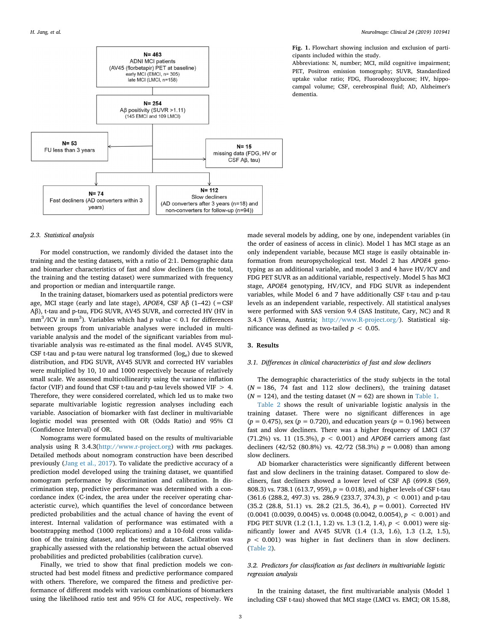<span id="page-2-0"></span>

**Fig. 1.** Flowchart showing inclusion and exclusion of participants included within the study.

Abbreviations: N, number; MCI, mild cognitive impairment; PET, Positron emission tomography; SUVR, Standardized uptake value ratio; FDG, Fluorodeoxyglucose; HV, hippocampal volume; CSF, cerebrospinal fluid; AD, Alzheimer's dementia.

# *2.3. Statistical analysis*

For model construction, we randomly divided the dataset into the training and the testing datasets, with a ratio of 2:1. Demographic data and biomarker characteristics of fast and slow decliners (in the total, the training and the testing dataset) were summarized with frequency and proportion or median and interquartile range.

In the training dataset, biomarkers used as potential predictors were age, MCI stage (early and late stage), *APOE*4, CSF Aβ (1–42) (=CSF Aβ), t-tau and p-tau, FDG SUVR, AV45 SUVR, and corrected HV (HV in mm<sup>3</sup>/ICV in mm<sup>3</sup>). Variables which had  $p$  value  $< 0.1$  for differences between groups from univariable analyses were included in multivariable analysis and the model of the significant variables from multivariable analysis was re-estimated as the final model. AV45 SUVR, CSF t-tau and p-tau were natural log transformed (log<sub>e</sub>) due to skewed distribution, and FDG SUVR, AV45 SUVR and corrected HV variables were multiplied by 10, 10 and 1000 respectively because of relatively small scale. We assessed multicollinearity using the variance inflation factor (VIF) and found that CSF t-tau and p-tau levels showed VIF  $> 4$ . Therefore, they were considered correlated, which led us to make two separate multivariable logistic regression analyses including each variable. Association of biomarker with fast decliner in multivariable logistic model was presented with OR (Odds Ratio) and 95% CI (Confidence Interval) of OR.

Nomograms were formulated based on the results of multivariable analysis using R 3.4.3[\(http://www.r-project.org\)](http://www.r-project.org) with *rms* packages. Detailed methods about nomogram construction have been described previously ([Jang et al., 2017\)](#page-7-14). To validate the predictive accuracy of a prediction model developed using the training dataset, we quantified nomogram performance by discrimination and calibration. In discrimination step, predictive performance was determined with a concordance index (C-index, the area under the receiver operating characteristic curve), which quantifies the level of concordance between predicted probabilities and the actual chance of having the event of interest. Internal validation of performance was estimated with a bootstrapping method (1000 replications) and a 10-fold cross validation of the training dataset, and the testing dataset. Calibration was graphically assessed with the relationship between the actual observed probabilities and predicted probabilities (calibration curve).

Finally, we tried to show that final prediction models we constructed had best model fitness and predictive performance compared with others. Therefore, we compared the fitness and predictive performance of different models with various combinations of biomarkers using the likelihood ratio test and 95% CI for AUC, respectively. We made several models by adding, one by one, independent variables (in the order of easiness of access in clinic). Model 1 has MCI stage as an only independent variable, because MCI stage is easily obtainable information from neuropsychological test. Model 2 has *APOE*4 genotyping as an additional variable, and model 3 and 4 have HV/ICV and FDG PET SUVR as an additional variable, respectively. Model 5 has MCI stage, *APOE*4 genotyping, HV/ICV, and FDG SUVR as independent variables, while Model 6 and 7 have additionally CSF t-tau and p-tau levels as an independent variable, respectively. All statistical analyses were performed with SAS version 9.4 (SAS Institute, Cary, NC) and R 3.4.3 (Vienna, Austria; <http://www.R-project.org/>). Statistical significance was defined as two-tailed *p <* 0.05.

# **3. Results**

# *3.1. Differences in clinical characteristics of fast and slow decliners*

The demographic characteristics of the study subjects in the total  $(N = 186, 74$  fast and 112 slow decliners), the training dataset  $(N = 124)$ , and the testing dataset  $(N = 62)$  are shown in [Table 1](#page-3-0).

[Table 2](#page-3-1) shows the result of univariable logistic analysis in the training dataset. There were no significant differences in age  $(p = 0.475)$ , sex  $(p = 0.720)$ , and education years  $(p = 0.196)$  between fast and slow decliners. There was a higher frequency of LMCI (37 (71.2%) vs. 11 (15.3%), *p* < 0.001) and *APOE4* carriers among fast decliners (42/52 (80.8%) vs. 42/72 (58.3%)  $p = 0.008$ ) than among slow decliners.

AD biomarker characteristics were significantly different between fast and slow decliners in the training dataset. Compared to slow decliners, fast decliners showed a lower level of CSF Aβ (699.8 (569, 808.3) vs. 738.1 (613.7, 959), *p* = 0.018), and higher levels of CSF t-tau (361.6 (288.2, 497.3) vs. 286.9 (233.7, 374.3), *p* < 0.001) and p-tau (35.2 (28.8, 51.1) vs. 28.2 (21.5, 36.4), *p* = 0.001). Corrected HV (0.0041 (0.0039, 0.0045) vs. 0.0048 (0.0042, 0.0054), *p* < 0.001) and FDG PET SUVR (1.2 (1.1, 1.2) vs. 1.3 (1.2, 1.4), *p* < 0.001) were significantly lower and AV45 SUVR (1.4 (1.3, 1.6), 1.3 (1.2, 1.5),  $p < 0.001$ ) was higher in fast decliners than in slow decliners. ([Table 2](#page-3-1)).

# *3.2. Predictors for classification as fast decliners in multivariable logistic regression analysis*

In the training dataset, the first multivariable analysis (Model 1 including CSF t-tau) showed that MCI stage (LMCI vs. EMCI; OR 15.88,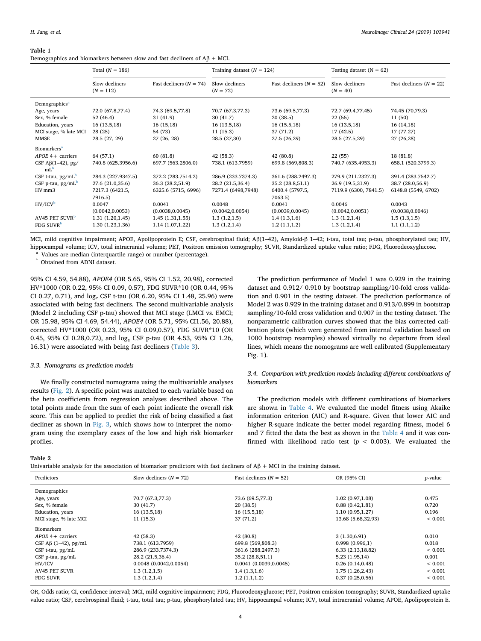#### <span id="page-3-0"></span>**Table 1**

Demographics and biomarkers between slow and fast decliners of  $A\beta$  + MCI.

|                                            | Total $(N = 186)$             |                           | Training dataset $(N = 124)$ |                           | Testing dataset $(N = 62)$   |                           |  |
|--------------------------------------------|-------------------------------|---------------------------|------------------------------|---------------------------|------------------------------|---------------------------|--|
|                                            | Slow decliners<br>$(N = 112)$ | Fast decliners $(N = 74)$ | Slow decliners<br>$(N = 72)$ | Fast decliners $(N = 52)$ | Slow decliners<br>$(N = 40)$ | Fast decliners $(N = 22)$ |  |
| Demographics <sup>a</sup>                  |                               |                           |                              |                           |                              |                           |  |
| Age, years                                 | 72.0 (67.8,77.4)              | 74.3 (69.5,77.8)          | 70.7 (67.3,77.3)             | 73.6 (69.5,77.3)          | 72.7 (69.4,77.45)            | 74.45 (70,79.3)           |  |
| Sex, % female                              | 52 (46.4)                     | 31(41.9)                  | 30(41.7)                     | 20(38.5)                  | 22(55)                       | 11(50)                    |  |
| Education, years                           | 16(13.5,18)                   | 16(15,18)                 | 16(13.5,18)                  | 16(15.5,18)               | 16(13.5,18)                  | 16(14,18)                 |  |
| MCI stage, % late MCI                      | 28(25)                        | 54 (73)                   | 11(15.3)                     | 37 (71.2)                 | 17(42.5)                     | 17 (77.27)                |  |
| <b>MMSE</b>                                | 28.5 (27, 29)                 | 27 (26, 28)               | 28.5 (27,30)                 | 27.5 (26,29)              | 28.5 (27.5,29)               | 27 (26,28)                |  |
| <b>Biomarkers</b> <sup>a</sup>             |                               |                           |                              |                           |                              |                           |  |
| $APOE$ 4 + carriers                        | 64 (57.1)                     | 60(81.8)                  | 42 (58.3)                    | 42 (80.8)                 | 22(55)                       | 18 (81.8)                 |  |
| CSF $A\beta(1-42)$ , pg/<br>m <sup>b</sup> | 740.8 (625.3956.6)            | 697.7 (563.2806.0)        | 738.1 (613.7959)             | 699.8 (569,808.3)         | 740.7 (635.4953.3)           | 658.1 (520.3799.3)        |  |
| CSF t-tau, $pg/mL^b$                       | 284.3 (227.9347.5)            | 372.2 (283.7514.2)        | 286.9 (233.7374.3)           | 361.6 (288.2497.3)        | 279.9 (211.2327.3)           | 391.4 (283.7542.7)        |  |
| CSF p-tau, $pg/mL^b$                       | 27.6 (21.0,35.6)              | 36.3 (28.2,51.9)          | 28.2 (21.5,36.4)             | 35.2 (28.8,51.1)          | 26.9 (19.5,31.9)             | 38.7 (28.0,56.9)          |  |
| HV mm3                                     | 7217.3 (6421.5,               | 6325.6 (5715, 6996)       | 7271.4 (6498.7948)           | 6400.4 (5797.5,           | 7119.9 (6300, 7841.5)        | 6148.8 (5549, 6702)       |  |
|                                            | 7916.5)                       |                           |                              | 7063.5                    |                              |                           |  |
| HV/ICV <sup>b</sup>                        | 0.0047                        | 0.0041                    | 0.0048                       | 0.0041                    | 0.0046                       | 0.0043                    |  |
|                                            | (0.0042, 0.0053)              | (0.0038, 0.0045)          | (0.0042, 0.0054)             | (0.0039, 0.0045)          | (0.0042, 0.0051)             | (0.0038, 0.0046)          |  |
| AV45 PET SUVR <sup>b</sup>                 | 1.31(1.20, 1.45)              | 1.45(1.31, 1.55)          | 1.3(1.2,1.5)                 | 1.4(1.3,1.6)              | 1.3(1.2, 1.4)                | 1.5(1.3, 1.5)             |  |
| FDG SUVR <sup>b</sup>                      | 1.30 (1.23,1.36)              | 1.14(1.07, 1.22)          | 1.3(1.2,1.4)                 | 1.2(1.1, 1.2)             | 1.3(1.2, 1.4)                | 1.1(1.1, 1.2)             |  |

MCI, mild cognitive impairment; APOE, Apolipoprotein E; CSF, cerebrospinal fluid; Aβ(1–42), Amyloid-β 1–42; t-tau, total tau; p-tau, phosphorylated tau; HV, hippocampal volume; ICV, total intracranial volume; PET, Positron emission tomography; SUVR, Standardized uptake value ratio; FDG, Fluorodeoxyglucose. <sup>a</sup> Values are median (interquartile range) or number (percentage).

<span id="page-3-3"></span><span id="page-3-2"></span>b Obtained from ADNI dataset.

95% CI 4.59, 54.88), *APOE4* (OR 5.65, 95% CI 1.52, 20.98), corrected HV\*1000 (OR 0.22, 95% CI 0.09, 0.57), FDG SUVR\*10 (OR 0.44, 95% CI 0.27, 0.71), and loge CSF t-tau (OR 6.20, 95% CI 1.48, 25.96) were associated with being fast decliners. The second multivariable analysis (Model 2 including CSF p-tau) showed that MCI stage (LMCI vs. EMCI; OR 15.98, 95% CI 4.69, 54.44), *APOE4* (OR 5.71, 95% CI1.56, 20.88), corrected HV\*1000 (OR 0.23, 95% CI 0.09,0.57), FDG SUVR\*10 (OR 0.45, 95% CI 0.28,0.72), and loge CSF p-tau (OR 4.53, 95% CI 1.26, 16.31) were associated with being fast decliners [\(Table 3\)](#page-4-0).

# *3.3. Nomograms as prediction models*

We finally constructed nomograms using the multivariable analyses results ([Fig. 2\)](#page-5-0). A specific point was matched to each variable based on the beta coefficients from regression analyses described above. The total points made from the sum of each point indicate the overall risk score. This can be applied to predict the risk of being classified a fast decliner as shown in [Fig. 3,](#page-6-0) which shows how to interpret the nomogram using the exemplary cases of the low and high risk biomarker profiles.

The prediction performance of Model 1 was 0.929 in the training dataset and 0.912/ 0.910 by bootstrap sampling/10-fold cross validation and 0.901 in the testing dataset. The prediction performance of Model 2 was 0.929 in the training dataset and 0.913/0.899 in bootstrap sampling/10-fold cross validation and 0.907 in the testing dataset. The nonparametric calibration curves showed that the bias corrected calibration plots (which were generated from internal validation based on 1000 bootstrap resamples) showed virtually no departure from ideal lines, which means the nomograms are well calibrated (Supplementary Fig. 1).

# *3.4. Comparison with prediction models including different combinations of biomarkers*

The prediction models with different combinations of biomarkers are shown in [Table 4.](#page-7-15) We evaluated the model fitness using Akaike information criterion (AIC) and R-square. Given that lower AIC and higher R-square indicate the better model regarding fitness, model 6 and 7 fitted the data the best as shown in the [Table 4](#page-7-15) and it was confirmed with likelihood ratio test ( $p < 0.003$ ). We evaluated the

#### <span id="page-3-1"></span>**Table 2**

Univariable analysis for the association of biomarker predictors with fast decliners of  $A\beta + MCI$  in the training dataset.

| Predictors                                   | Slow decliners $(N = 72)$ | Fast decliners $(N = 52)$ | OR (95% CI)        | <i>p</i> -value |
|----------------------------------------------|---------------------------|---------------------------|--------------------|-----------------|
| Demographics                                 |                           |                           |                    |                 |
| Age, years                                   | 70.7 (67.3,77.3)          | 73.6 (69.5,77.3)          | 1.02(0.97, 1.08)   | 0.475           |
| Sex, % female                                | 30(41.7)                  | 20(38.5)                  | 0.88(0.42, 1.81)   | 0.720           |
| Education, years                             | 16(13.5,18)               | 16(15.5,18)               | 1.10 (0.95,1.27)   | 0.196           |
| MCI stage, % late MCI                        | 11(15.3)                  | 37 (71.2)                 | 13.68 (5.68,32.93) | ${}< 0.001$     |
| <b>Biomarkers</b>                            |                           |                           |                    |                 |
| $APOE$ 4 + carriers                          | 42 (58.3)                 | 42(80.8)                  | 3(1.30, 6.91)      | 0.010           |
| CSF $\mathbf{A}\mathbf{\beta}$ (1–42), pg/mL | 738.1 (613.7959)          | 699.8 (569,808.3)         | 0.998(0.996,1)     | 0.018           |
| $CSF$ t-tau, $pg/mL$                         | 286.9 (233.7374.3)        | 361.6 (288.2497.3)        | 6.33 (2.13,18.82)  | ${}< 0.001$     |
| CSF p-tau, pg/mL                             | 28.2 (21.5,36.4)          | 35.2 (28.8,51.1)          | 5.23 (1.95,14)     | 0.001           |
| HV/ICV                                       | 0.0048(0.0042, 0.0054)    | 0.0041(0.0039, 0.0045)    | 0.26(0.14, 0.48)   | ${}< 0.001$     |
| <b>AV45 PET SUVR</b>                         | 1.3(1.2, 1.5)             | 1.4(1.3,1.6)              | 1.75 (1.26,2.43)   | ${}< 0.001$     |
| <b>FDG SUVR</b>                              | 1.3(1.2, 1.4)             | 1.2(1.1, 1.2)             | 0.37(0.25, 0.56)   | ${}< 0.001$     |

OR, Odds ratio; CI, confidence interval; MCI, mild cognitive impairment; FDG, Fluorodeoxyglucose; PET, Positron emission tomography; SUVR, Standardized uptake value ratio; CSF, cerebrospinal fluid; t-tau, total tau; p-tau, phosphorylated tau; HV, hippocampal volume; ICV, total intracranial volume; APOE, Apolipoprotein E.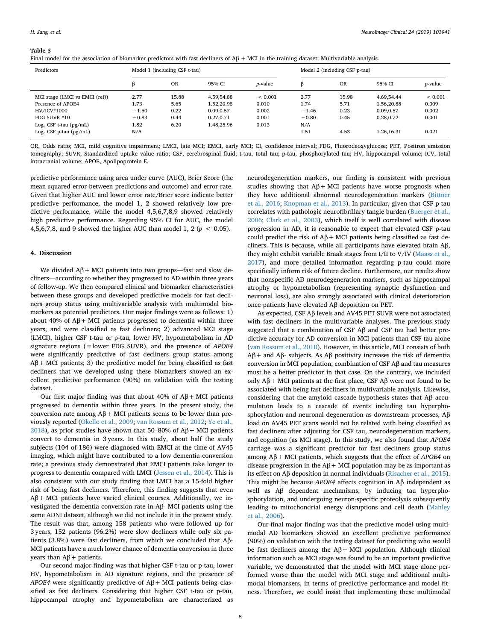#### <span id="page-4-0"></span>**Table 3**

| Final model for the association of biomarker predictors with fast decliners of $AB + MCI$ in the training dataset: Multivariable analysis. |  |  |  |
|--------------------------------------------------------------------------------------------------------------------------------------------|--|--|--|
|--------------------------------------------------------------------------------------------------------------------------------------------|--|--|--|

| Predictors                     |         | Model 1 (including CSF t-tau) |            |                 |         | Model 2 (including CSF p-tau) |            |                 |  |
|--------------------------------|---------|-------------------------------|------------|-----------------|---------|-------------------------------|------------|-----------------|--|
|                                | ß       | <b>OR</b>                     | 95% CI     | <i>p</i> -value | ß       | <b>OR</b>                     | 95% CI     | <i>p</i> -value |  |
| MCI stage (LMCI vs EMCI (ref)) | 2.77    | 15.88                         | 4.59.54.88 | ${}< 0.001$     | 2.77    | 15.98                         | 4.69.54.44 | ${}< 0.001$     |  |
| Presence of APOE4              | 1.73    | 5.65                          | 1.52.20.98 | 0.010           | 1.74    | 5.71                          | 1.56.20.88 | 0.009           |  |
| HV/ICV*1000                    | $-1.50$ | 0.22                          | 0.09.0.57  | 0.002           | $-1.46$ | 0.23                          | 0.09.0.57  | 0.002           |  |
| FDG SUVR *10                   | $-0.83$ | 0.44                          | 0.27,0.71  | 0.001           | $-0.80$ | 0.45                          | 0.28,0.72  | 0.001           |  |
| $Log_e$ CSF t-tau $(pg/mL)$    | 1.82    | 6.20                          | 1.48.25.96 | 0.013           | N/A     |                               |            |                 |  |
| $Log_e$ CSF p-tau $(pg/mL)$    | N/A     |                               |            |                 | 1.51    | 4.53                          | 1.26.16.31 | 0.021           |  |

OR, Odds ratio; MCI, mild cognitive impairment; LMCI, late MCI; EMCI, early MCI; CI, confidence interval; FDG, Fluorodeoxyglucose; PET, Positron emission tomography; SUVR, Standardized uptake value ratio; CSF, cerebrospinal fluid; t-tau, total tau; p-tau, phosphorylated tau; HV, hippocampal volume; ICV, total intracranial volume; APOE, Apolipoprotein E.

predictive performance using area under curve (AUC), Brier Score (the mean squared error between predictions and outcome) and error rate. Given that higher AUC and lower error rate/Brier score indicate better predictive performance, the model 1, 2 showed relatively low predictive performance, while the model 4,5,6,7,8,9 showed relatively high predictive performance. Regarding 95% CI for AUC, the model 4,5,6,7,8, and 9 showed the higher AUC than model 1, 2 ( $p < 0.05$ ).

# **4. Discussion**

We divided  $A\beta$  + MCI patients into two groups—fast and slow decliners—according to whether they progressed to AD within three years of follow-up. We then compared clinical and biomarker characteristics between these groups and developed predictive models for fast decliners group status using multivariable analysis with multimodal biomarkers as potential predictors. Our major findings were as follows: 1) about 40% of  $A\beta$  + MCI patients progressed to dementia within three years, and were classified as fast decliners; 2) advanced MCI stage (LMCI), higher CSF t-tau or p-tau, lower HV, hypometabolism in AD signature regions (=lower FDG SUVR), and the presence of *APOE4* were significantly predictive of fast decliners group status among  $A\beta$  + MCI patients; 3) the predictive model for being classified as fast decliners that we developed using these biomarkers showed an excellent predictive performance (90%) on validation with the testing dataset.

Our first major finding was that about 40% of  $Aβ + MCI$  patients progressed to dementia within three years. In the present study, the conversion rate among Aβ+ MCI patients seems to be lower than previously reported [\(Okello et al., 2009](#page-8-4); [van Rossum et al., 2012;](#page-8-10) [Ye et al.,](#page-8-11) [2018\)](#page-8-11), as prior studies have shown that 50–80% of  $A\beta$  + MCI patients convert to dementia in 3 years. In this study, about half the study subjects (104 of 186) were diagnosed with EMCI at the time of AV45 imaging, which might have contributed to a low dementia conversion rate; a previous study demonstrated that EMCI patients take longer to progress to dementia compared with LMCI [\(Jessen et al., 2014](#page-7-16)). This is also consistent with our study finding that LMCI has a 15-fold higher risk of being fast decliners. Therefore, this finding suggests that even Aβ+ MCI patients have varied clinical courses. Additionally, we investigated the dementia conversion rate in Aβ- MCI patients using the same ADNI dataset, although we did not include it in the present study. The result was that, among 158 patients who were followed up for 3 years, 152 patients (96.2%) were slow decliners while only six patients (3.8%) were fast decliners, from which we concluded that Aβ-MCI patients have a much lower chance of dementia conversion in three years than  $Aβ$  + patients.

Our second major finding was that higher CSF t-tau or p-tau, lower HV, hypometabolism in AD signature regions, and the presence of *APOE4* were significantly predictive of Aβ+ MCI patients being classified as fast decliners. Considering that higher CSF t-tau or p-tau, hippocampal atrophy and hypometabolism are characterized as neurodegeneration markers, our finding is consistent with previous studies showing that  $A\beta$  + MCI patients have worse prognosis when they have additional abnormal neurodegeneration markers [\(Bittner](#page-7-12) [et al., 2016](#page-7-12); [Knopman et al., 2013](#page-7-17)). In particular, given that CSF p-tau correlates with pathologic neurofibrillary tangle burden [\(Buerger et al.,](#page-7-18) [2006;](#page-7-18) [Clark et al., 2003\)](#page-7-19), which itself is well correlated with disease progression in AD, it is reasonable to expect that elevated CSF p-tau could predict the risk of  $A\beta$  + MCI patients being classified as fast decliners. This is because, while all participants have elevated brain Aβ, they might exhibit variable Braak stages from I/II to V/IV [\(Maass et al.,](#page-8-6) [2017\)](#page-8-6), and more detailed information regarding p-tau could more specifically inform risk of future decline. Furthermore, our results show that nonspecific AD neurodegeneration markers, such as hippocampal atrophy or hypometabolism (representing synaptic dysfunction and neuronal loss), are also strongly associated with clinical deterioration once patients have elevated Aβ deposition on PET.

As expected, CSF Aβ levels and AV45 PET SUVR were not associated with fast decliners in the multivariable analyses. The previous study suggested that a combination of CSF Aβ and CSF tau had better predictive accuracy for AD conversion in MCI patients than CSF tau alone ([van Rossum et al., 2010](#page-8-12)). However, in this article, MCI consists of both Aβ+ and Aβ- subjects. As Aβ positivity increases the risk of dementia conversion in MCI population, combination of CSF Aβ and tau measures must be a better predictor in that case. On the contrary, we included only Aβ+ MCI patients at the first place, CSF Aβ were not found to be associated with being fast decliners in multivariable analysis. Likewise, considering that the amyloid cascade hypothesis states that Aβ accumulation leads to a cascade of events including tau hyperphosphorylation and neuronal degeneration as downstream processes, Aβ load on AV45 PET scans would not be related with being classified as fast decliners after adjusting for CSF tau, neurodegeneration markers, and cognition (as MCI stage). In this study, we also found that *APOE4* carriage was a significant predictor for fast decliners group status among Aβ+ MCI patients, which suggests that the effect of *APOE4* on disease progression in the  $Aβ$  + MCI population may be as important as its effect on Aβ deposition in normal individuals ([Risacher et al., 2015](#page-8-13)). This might be because *APOE4* affects cognition in Aβ independent as well as Aβ dependent mechanisms, by inducing tau hyperphosphorylation, and undergoing neuron-specific proteolysis subsequently leading to mitochondrial energy disruptions and cell death ([Mahley](#page-8-14) [et al., 2006](#page-8-14)).

Our final major finding was that the predictive model using multimodal AD biomarkers showed an excellent predictive performance (90%) on validation with the testing dataset for predicting who would be fast decliners among the Aβ+ MCI population. Although clinical information such as MCI stage was found to be an important predictive variable, we demonstrated that the model with MCI stage alone performed worse than the model with MCI stage and additional multimodal biomarkers, in terms of predictive performance and model fitness. Therefore, we could insist that implementing these multimodal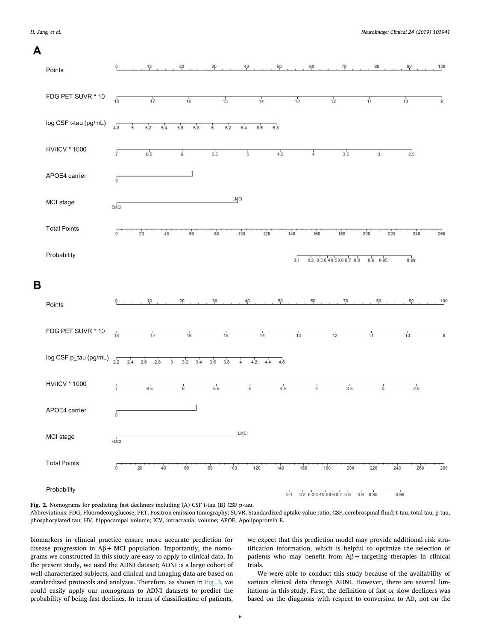# <span id="page-5-0"></span> $\mathbf{A}$



**Fig. 2.** Nomograms for predicting fast decliners including (A) CSF t-tau (B) CSF p-tau.

Abbreviations: FDG, Fluorodeoxyglucose; PET, Positron emission tomography; SUVR, Standardized uptake value ratio; CSF, cerebrospinal fluid; t-tau, total tau; p-tau, phosphorylated tau; HV, hippocampal volume; ICV, intracranial volume; APOE, Apolipoprotein E.

 $0.1$ 

biomarkers in clinical practice ensure more accurate prediction for disease progression in  $A\beta$  + MCI population. Importantly, the nomograms we constructed in this study are easy to apply to clinical data. In the present study, we used the ADNI dataset; ADNI is a large cohort of well-characterized subjects, and clinical and imaging data are based on standardized protocols and analyses. Therefore, as shown in [Fig. 3,](#page-6-0) we could easily apply our nomograms to ADNI datasets to predict the probability of being fast declines. In terms of classification of patients,

we expect that this prediction model may provide additional risk stratification information, which is helpful to optimize the selection of patients who may benefit from  $Aβ$  + targeting therapies in clinical trials.

 $0.9 0.95$ 

 $0.99$ 

 $0.2$  0.3 0.40.50.60.7 0.8

We were able to conduct this study because of the availability of various clinical data through ADNI. However, there are several limitations in this study. First, the definition of fast or slow decliners was based on the diagnosis with respect to conversion to AD, not on the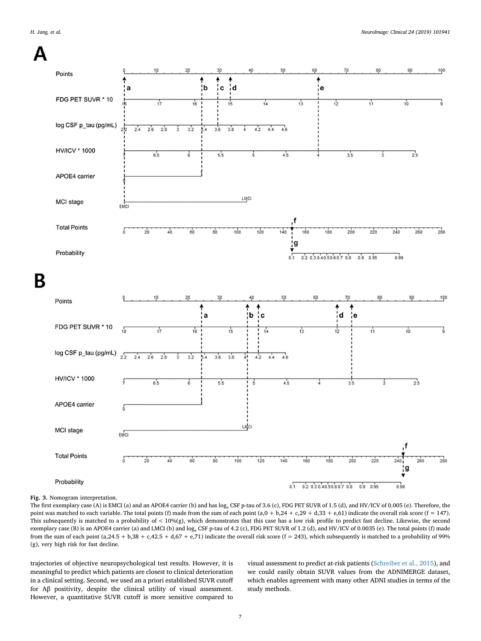# <span id="page-6-0"></span>Δ

B



**Fig. 3.** Nomogram interpretation.

The first exemplary case (A) is EMCI (a) and an APOE4 carrier (b) and has  $log_e$  CSF p-tau of 3.6 (c), FDG PET SUVR of 1.5 (d), and HV/ICV of 0.005 (e). Therefore, the point was matched to each variable. The total points (f) made from the sum of each point  $(a,0 + b,24 + c,29 + d,33 + e,61)$  indicate the overall risk score (f = 147). This subsequently is matched to a probability of < 10%(g), which demonstrates that this case has a low risk profile to predict fast decline. Likewise, the second exemplary case (B) is an APOE4 carrier (a) and LMCI (b) and loge CSF p-tau of 4.2 (c), FDG PET SUVR of 1.2 (d), and HV/ICV of 0.0035 (e). The total points (f) made from the sum of each point (a,24.5 + b,38 + c,42.5 + d,67 + e,71) indicate the overall risk score (f = 243), which subsequently is matched to a probability of 99% (g), very high risk for fast decline.

trajectories of objective neuropsychological test results. However, it is meaningful to predict which patients are closest to clinical deterioration in a clinical setting. Second, we used an a priori established SUVR cutoff for Aβ positivity, despite the clinical utility of visual assessment. However, a quantitative SUVR cutoff is more sensitive compared to visual assessment to predict at-risk patients ([Schreiber et al., 2015](#page-8-15)), and we could easily obtain SUVR values from the ADNIMERGE dataset, which enables agreement with many other ADNI studies in terms of the study methods.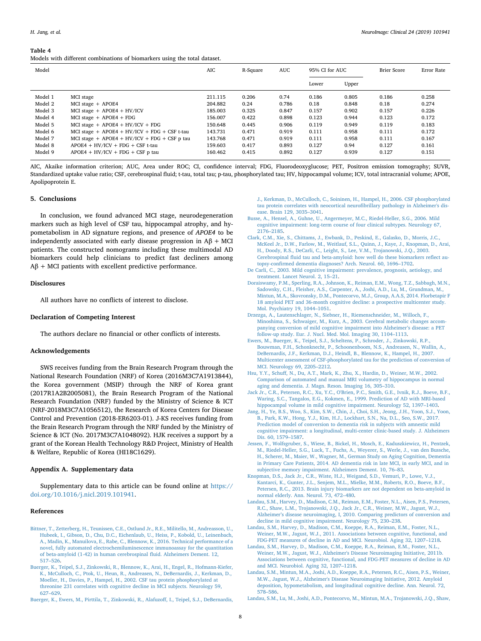#### <span id="page-7-15"></span>**Table 4**

Models with different combinations of biomarkers using the total dataset.

| Model   |                                                | AIC     | R-Square | <b>AUC</b> | 95% CI for AUC |       | <b>Brier Score</b> | Error Rate |
|---------|------------------------------------------------|---------|----------|------------|----------------|-------|--------------------|------------|
|         |                                                |         |          |            | Lower          | Upper |                    |            |
| Model 1 | MCI stage                                      | 211.115 | 0.206    | 0.74       | 0.186          | 0.805 | 0.186              | 0.258      |
| Model 2 | $MCI stage + APOE4$                            | 204.882 | 0.24     | 0.786      | 0.18           | 0.848 | 0.18               | 0.274      |
| Model 3 | MCI stage $+$ APOE4 $+$ HV/ICV                 | 185.003 | 0.325    | 0.847      | 0.157          | 0.902 | 0.157              | 0.226      |
| Model 4 | $MCI stage + APOE4 + FDG$                      | 156.007 | 0.422    | 0.898      | 0.123          | 0.944 | 0.123              | 0.172      |
| Model 5 | MCI stage $+$ APOE4 $+$ HV/ICV $+$ FDG         | 150.648 | 0.445    | 0.906      | 0.119          | 0.949 | 0.119              | 0.183      |
| Model 6 | MCI stage + $APOE4 + HV/ICV + FDG + CSF$ t-tau | 143.731 | 0.471    | 0.919      | 0.111          | 0.958 | 0.111              | 0.172      |
| Model 7 | MCI stage + APOE4 + $HV/ICV$ + FDG + CSF p tau | 143.768 | 0.471    | 0.919      | 0.111          | 0.958 | 0.111              | 0.167      |
| Model 8 | $APOE4 + HV/ICV + FDG + CSF$ t-tau             | 159.603 | 0.417    | 0.893      | 0.127          | 0.94  | 0.127              | 0.161      |
| Model 9 | $APOE4 + HV/ICV + FDG + CSF p$ tau             | 160.462 | 0.415    | 0.892      | 0.127          | 0.939 | 0.127              | 0.151      |

AIC, Akaike information criterion; AUC, Area under ROC; CI, confidence interval; FDG, Fluorodeoxyglucose; PET, Positron emission tomography; SUVR, Standardized uptake value ratio; CSF, cerebrospinal fluid; t-tau, total tau; p-tau, phosphorylated tau; HV, hippocampal volume; ICV, total intracranial volume; APOE, Apolipoprotein E.

# **5. Conclusions**

In conclusion, we found advanced MCI stage, neurodegeneration markers such as high level of CSF tau, hippocampal atrophy, and hypometabolism in AD signature regions, and presence of *APOE4* to be independently associated with early disease progression in  $A\beta + MCI$ patients. The constructed nomograms including these multimodal AD biomarkers could help clinicians to predict fast decliners among  $A\beta$  + MCI patients with excellent predictive performance.

## **Disclosures**

All authors have no conflicts of interest to disclose.

# **Declaration of Competing Interest**

The authors declare no financial or other conflicts of interests.

# **Acknowledgements**

SWS receives funding from the Brain Research Program through the National Research Foundation (NRF) of Korea (2016M3C7A1913844), the Korea government (MSIP) through the NRF of Korea grant (2017R1A2B2005081), the Brain Research Program of the National Research Foundation (NRF) funded by the Ministry of Science & ICT (NRF-2018M3C7A1056512), the Research of Korea Centers for Disease Control and Prevention (2018-ER6203-01). J-KS receives funding from the Brain Research Program through the NRF funded by the Ministry of Science & ICT (No. 2017M3C7A1048092). HJK receives a support by a grant of the Korean Health Technology R&D Project, Ministry of Health & Welfare, Republic of Korea (HI18C1629).

## **Appendix A. Supplementary data**

Supplementary data to this article can be found online at [https://](https://doi.org/10.1016/j.nicl.2019.101941) [doi.org/10.1016/j.nicl.2019.101941.](https://doi.org/10.1016/j.nicl.2019.101941)

# **References**

- <span id="page-7-12"></span>[Bittner, T., Zetterberg, H., Teunissen, C.E., Ostlund Jr., R.E., Militello, M., Andreasson, U.,](http://refhub.elsevier.com/S2213-1582(19)30291-8/rf0005) [Hubeek, I., Gibson, D., Chu, D.C., Eichenlaub, U., Heiss, P., Kobold, U., Leinenbach,](http://refhub.elsevier.com/S2213-1582(19)30291-8/rf0005) [A., Madin, K., Manuilova, E., Rabe, C., Blennow, K., 2016. Technical performance of a](http://refhub.elsevier.com/S2213-1582(19)30291-8/rf0005) [novel, fully automated electrochemiluminescence immunoassay for the quantitation](http://refhub.elsevier.com/S2213-1582(19)30291-8/rf0005) [of beta-amyloid \(1-42\) in human cerebrospinal fluid. Alzheimers Dement. 12,](http://refhub.elsevier.com/S2213-1582(19)30291-8/rf0005) [517–526](http://refhub.elsevier.com/S2213-1582(19)30291-8/rf0005).
- <span id="page-7-3"></span>[Buerger, K., Teipel, S.J., Zinkowski, R., Blennow, K., Arai, H., Engel, R., Hofmann-Kiefer,](http://refhub.elsevier.com/S2213-1582(19)30291-8/rf0010) [K., McCulloch, C., Ptok, U., Heun, R., Andreasen, N., DeBernardis, J., Kerkman, D.,](http://refhub.elsevier.com/S2213-1582(19)30291-8/rf0010) [Moeller, H., Davies, P., Hampel, H., 2002. CSF tau protein phosphorylated at](http://refhub.elsevier.com/S2213-1582(19)30291-8/rf0010) [threonine 231 correlates with cognitive decline in MCI subjects. Neurology 59,](http://refhub.elsevier.com/S2213-1582(19)30291-8/rf0010) [627–629](http://refhub.elsevier.com/S2213-1582(19)30291-8/rf0010).

<span id="page-7-18"></span>[Buerger, K., Ewers, M., Pirttila, T., Zinkowski, R., Alafuzoff, I., Teipel, S.J., DeBernardis,](http://refhub.elsevier.com/S2213-1582(19)30291-8/rf0015)

[J., Kerkman, D., McCulloch, C., Soininen, H., Hampel, H., 2006. CSF phosphorylated](http://refhub.elsevier.com/S2213-1582(19)30291-8/rf0015) [tau protein correlates with neocortical neurofibrillary pathology in Alzheimer's dis](http://refhub.elsevier.com/S2213-1582(19)30291-8/rf0015)[ease. Brain 129, 3035–3041](http://refhub.elsevier.com/S2213-1582(19)30291-8/rf0015).

- <span id="page-7-0"></span>[Busse, A., Hensel, A., Guhne, U., Angermeyer, M.C., Riedel-Heller, S.G., 2006. Mild](http://refhub.elsevier.com/S2213-1582(19)30291-8/rf0020) [cognitive impairment: long-term course of four clinical subtypes. Neurology 67,](http://refhub.elsevier.com/S2213-1582(19)30291-8/rf0020) [2176–2185](http://refhub.elsevier.com/S2213-1582(19)30291-8/rf0020).
- <span id="page-7-19"></span>[Clark, C.M., Xie, S., Chittams, J., Ewbank, D., Peskind, E., Galasko, D., Morris, J.C.,](http://refhub.elsevier.com/S2213-1582(19)30291-8/rf0025) [McKeel Jr., D.W., Farlow, M., Weitlauf, S.L., Quinn, J., Kaye, J., Knopman, D., Arai,](http://refhub.elsevier.com/S2213-1582(19)30291-8/rf0025) [H., Doody, R.S., DeCarli, C., Leight, S., Lee, V.M., Trojanowski, J.Q., 2003.](http://refhub.elsevier.com/S2213-1582(19)30291-8/rf0025) [Cerebrospinal fluid tau and beta-amyloid: how well do these biomarkers reflect au](http://refhub.elsevier.com/S2213-1582(19)30291-8/rf0025)[topsy-confirmed dementia diagnoses? Arch. Neurol. 60, 1696–1702.](http://refhub.elsevier.com/S2213-1582(19)30291-8/rf0025)
- <span id="page-7-1"></span>[De Carli, C., 2003. Mild cognitive impairment: prevalence, prognosis, aetiology, and](http://refhub.elsevier.com/S2213-1582(19)30291-8/rf0030) [treatment. Lancet Neurol. 2, 15–21.](http://refhub.elsevier.com/S2213-1582(19)30291-8/rf0030)
- <span id="page-7-2"></span>[Doraiswamy, P.M., Sperling, R.A., Johnson, K., Reiman, E.M., Wong, T.Z., Sabbagh, M.N.,](http://refhub.elsevier.com/S2213-1582(19)30291-8/rf0035) [Sadowsky, C.H., Fleisher, A.S., Carpenter, A., Joshi, A.D., Lu, M., Grundman, M.,](http://refhub.elsevier.com/S2213-1582(19)30291-8/rf0035) [Mintun, M.A., Skovronsky, D.M., Pontecorvo, M.J., Group, A.A.S, 2014. Florbetapir F](http://refhub.elsevier.com/S2213-1582(19)30291-8/rf0035) [18 amyloid PET and 36-month cognitive decline: a prospective multicenter study.](http://refhub.elsevier.com/S2213-1582(19)30291-8/rf0035) [Mol. Psychiatry 19, 1044–1051](http://refhub.elsevier.com/S2213-1582(19)30291-8/rf0035).
- <span id="page-7-6"></span>[Drzezga, A., Lautenschlager, N., Siebner, H., Riemenschneider, M., Willoch, F.,](http://refhub.elsevier.com/S2213-1582(19)30291-8/rf0040) [Minoshima, S., Schwaiger, M., Kurz, A., 2003. Cerebral metabolic changes accom](http://refhub.elsevier.com/S2213-1582(19)30291-8/rf0040)[panying conversion of mild cognitive impairment into Alzheimer's disease: a PET](http://refhub.elsevier.com/S2213-1582(19)30291-8/rf0040) [follow-up study. Eur. J. Nucl. Med. Mol. Imaging 30, 1104–1113.](http://refhub.elsevier.com/S2213-1582(19)30291-8/rf0040)
- <span id="page-7-4"></span>[Ewers, M., Buerger, K., Teipel, S.J., Scheltens, P., Schroder, J., Zinkowski, R.P.,](http://refhub.elsevier.com/S2213-1582(19)30291-8/rf0045) [Bouwman, F.H., Schonknecht, P., Schoonenboom, N.S., Andreasen, N., Wallin, A.,](http://refhub.elsevier.com/S2213-1582(19)30291-8/rf0045) [DeBernardis, J.F., Kerkman, D.J., Heindl, B., Blennow, K., Hampel, H., 2007.](http://refhub.elsevier.com/S2213-1582(19)30291-8/rf0045) [Multicenter assessment of CSF-phosphorylated tau for the prediction of conversion of](http://refhub.elsevier.com/S2213-1582(19)30291-8/rf0045) [MCI. Neurology 69, 2205–2212.](http://refhub.elsevier.com/S2213-1582(19)30291-8/rf0045)
- <span id="page-7-13"></span>[Hsu, Y.Y., Schuff, N., Du, A.T., Mark, K., Zhu, X., Hardin, D., Weiner, M.W., 2002.](http://refhub.elsevier.com/S2213-1582(19)30291-8/rf0050) [Comparison of automated and manual MRI volumetry of hippocampus in normal](http://refhub.elsevier.com/S2213-1582(19)30291-8/rf0050) [aging and dementia. J. Magn. Reson. Imaging 16, 305–310](http://refhub.elsevier.com/S2213-1582(19)30291-8/rf0050).
- <span id="page-7-5"></span>[Jack Jr., C.R., Petersen, R.C., Xu, Y.C., O'Brien, P.C., Smith, G.E., Ivnik, R.J., Boeve, B.F.,](http://refhub.elsevier.com/S2213-1582(19)30291-8/rf0055) [Waring, S.C., Tangalos, E.G., Kokmen, E., 1999. Prediction of AD with MRI-based](http://refhub.elsevier.com/S2213-1582(19)30291-8/rf0055) [hippocampal volume in mild cognitive impairment. Neurology 52, 1397–1403](http://refhub.elsevier.com/S2213-1582(19)30291-8/rf0055).
- <span id="page-7-14"></span>[Jang, H., Ye, B.S., Woo, S., Kim, S.W., Chin, J., Choi, S.H., Jeong, J.H., Yoon, S.J., Yoon,](http://refhub.elsevier.com/S2213-1582(19)30291-8/rf0060) [B., Park, K.W., Hong, Y.J., Kim, H.J., Lockhart, S.N., Na, D.L., Seo, S.W., 2017.](http://refhub.elsevier.com/S2213-1582(19)30291-8/rf0060) [Prediction model of conversion to dementia risk in subjects with amnestic mild](http://refhub.elsevier.com/S2213-1582(19)30291-8/rf0060) [cognitive impairment: a longitudinal, multi-center clinic-based study. J. Alzheimers](http://refhub.elsevier.com/S2213-1582(19)30291-8/rf0060) [Dis. 60, 1579–1587](http://refhub.elsevier.com/S2213-1582(19)30291-8/rf0060).
- <span id="page-7-16"></span>[Jessen, F., Wolfsgruber, S., Wiese, B., Bickel, H., Mosch, E., Kaduszkiewicz, H., Pentzek,](http://refhub.elsevier.com/S2213-1582(19)30291-8/rf0065) [M., Riedel-Heller, S.G., Luck, T., Fuchs, A., Weyerer, S., Werle, J., van den Bussche,](http://refhub.elsevier.com/S2213-1582(19)30291-8/rf0065) [H., Scherer, M., Maier, W., Wagner, M., German Study on Aging Cognition, Dementia](http://refhub.elsevier.com/S2213-1582(19)30291-8/rf0065) [in Primary Care Patients, 2014. AD dementia risk in late MCI, in early MCI, and in](http://refhub.elsevier.com/S2213-1582(19)30291-8/rf0065) [subjective memory impairment. Alzheimers Dement. 10, 76–83](http://refhub.elsevier.com/S2213-1582(19)30291-8/rf0065).
- <span id="page-7-17"></span>[Knopman, D.S., Jack Jr., C.R., Wiste, H.J., Weigand, S.D., Vemuri, P., Lowe, V.J.,](http://refhub.elsevier.com/S2213-1582(19)30291-8/rf0070) [Kantarci, K., Gunter, J.L., Senjem, M.L., Mielke, M.M., Roberts, R.O., Boeve, B.F.,](http://refhub.elsevier.com/S2213-1582(19)30291-8/rf0070) [Petersen, R.C., 2013. Brain injury biomarkers are not dependent on beta-amyloid in](http://refhub.elsevier.com/S2213-1582(19)30291-8/rf0070) [normal elderly. Ann. Neurol. 73, 472–480.](http://refhub.elsevier.com/S2213-1582(19)30291-8/rf0070)
- <span id="page-7-11"></span>[Landau, S.M., Harvey, D., Madison, C.M., Reiman, E.M., Foster, N.L., Aisen, P.S., Petersen,](http://refhub.elsevier.com/S2213-1582(19)30291-8/rf0075) [R.C., Shaw, L.M., Trojanowski, J.Q., Jack Jr., C.R., Weiner, M.W., Jagust, W.J.,](http://refhub.elsevier.com/S2213-1582(19)30291-8/rf0075) [Alzheimer's disease neuroimaging, I, 2010. Comparing predictors of conversion and](http://refhub.elsevier.com/S2213-1582(19)30291-8/rf0075) [decline in mild cognitive impairment. Neurology 75, 230–238.](http://refhub.elsevier.com/S2213-1582(19)30291-8/rf0075)
- <span id="page-7-10"></span>[Landau, S.M., Harvey, D., Madison, C.M., Koeppe, R.A., Reiman, E.M., Foster, N.L.,](http://refhub.elsevier.com/S2213-1582(19)30291-8/rf0080) [Weiner, M.W., Jagust, W.J., 2011. Associations between cognitive, functional, and](http://refhub.elsevier.com/S2213-1582(19)30291-8/rf0080) [FDG-PET measures of decline in AD and MCI. Neurobiol. Aging 32, 1207–1218.](http://refhub.elsevier.com/S2213-1582(19)30291-8/rf0080)
- <span id="page-7-9"></span>[Landau, S.M., Harvey, D., Madison, C.M., Koeppe, R.A., Reiman, E.M., Foster, N.L.,](http://refhub.elsevier.com/S2213-1582(19)30291-8/rf0085) [Weiner, M.W., Jagust, W.J., Alzheimer's Disease Neuroimaging Initiative, 2011b.](http://refhub.elsevier.com/S2213-1582(19)30291-8/rf0085) [Associations between cognitive, functional, and FDG-PET measures of decline in AD](http://refhub.elsevier.com/S2213-1582(19)30291-8/rf0085) [and MCI. Neurobiol. Aging 32, 1207–1218](http://refhub.elsevier.com/S2213-1582(19)30291-8/rf0085).
- <span id="page-7-8"></span>[Landau, S.M., Mintun, M.A., Joshi, A.D., Koeppe, R.A., Petersen, R.C., Aisen, P.S., Weiner,](http://refhub.elsevier.com/S2213-1582(19)30291-8/rf0090) [M.W., Jagust, W.J., Alzheimer's Disease Neuroimaging Initiative, 2012. Amyloid](http://refhub.elsevier.com/S2213-1582(19)30291-8/rf0090) [deposition, hypometabolism, and longitudinal cognitive decline. Ann. Neurol. 72,](http://refhub.elsevier.com/S2213-1582(19)30291-8/rf0090) [578–586](http://refhub.elsevier.com/S2213-1582(19)30291-8/rf0090).
- <span id="page-7-7"></span>[Landau, S.M., Lu, M., Joshi, A.D., Pontecorvo, M., Mintun, M.A., Trojanowski, J.Q., Shaw,](http://refhub.elsevier.com/S2213-1582(19)30291-8/rf0095)